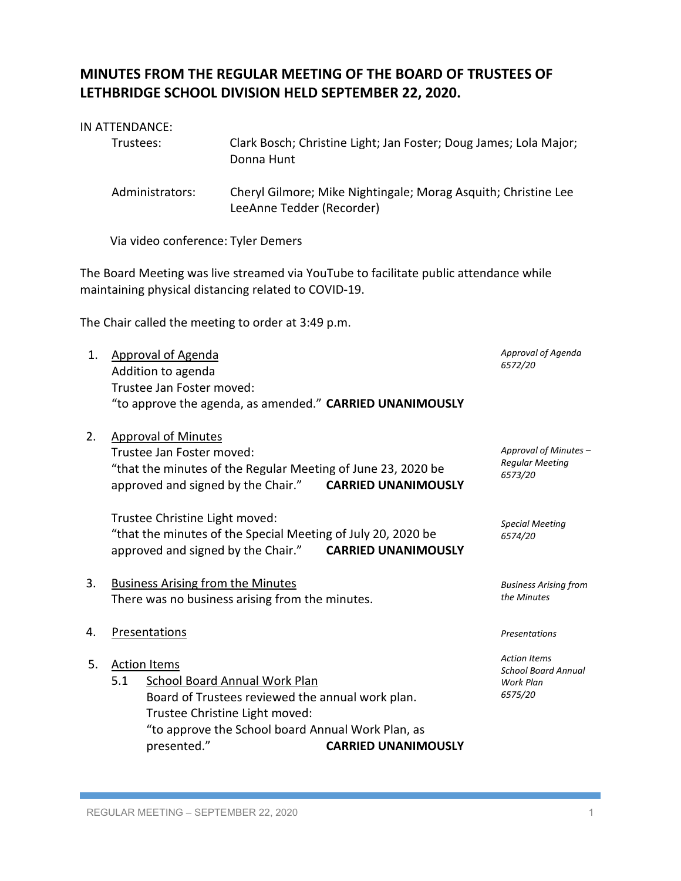## **MINUTES FROM THE REGULAR MEETING OF THE BOARD OF TRUSTEES OF LETHBRIDGE SCHOOL DIVISION HELD SEPTEMBER 22, 2020.**

## IN ATTENDANCE:

| Administrators:<br>Cheryl Gilmore; Mike Nightingale; Morag Asquith; Christine Lee<br>LeeAnne Tedder (Recorder)<br>Via video conference: Tyler Demers<br>The Board Meeting was live streamed via YouTube to facilitate public attendance while<br>maintaining physical distancing related to COVID-19.<br>The Chair called the meeting to order at 3:49 p.m.<br>Approval of Agenda<br><b>Approval of Agenda</b><br>1.<br>6572/20<br>Addition to agenda<br>Trustee Jan Foster moved:<br>"to approve the agenda, as amended." CARRIED UNANIMOUSLY<br>2.<br><b>Approval of Minutes</b><br>Approval of Minutes -<br>Trustee Jan Foster moved:<br><b>Regular Meeting</b><br>"that the minutes of the Regular Meeting of June 23, 2020 be<br>6573/20<br>approved and signed by the Chair."<br><b>CARRIED UNANIMOUSLY</b><br>Trustee Christine Light moved:<br><b>Special Meeting</b><br>"that the minutes of the Special Meeting of July 20, 2020 be<br>6574/20<br>approved and signed by the Chair."<br><b>CARRIED UNANIMOUSLY</b><br>3.<br><b>Business Arising from the Minutes</b><br><b>Business Arising from</b><br>the Minutes<br>There was no business arising from the minutes.<br><b>Presentations</b><br>4.<br>Presentations<br><b>Action Items</b><br>5.<br><b>Action Items</b><br><b>School Board Annual</b><br>5.1<br><b>School Board Annual Work Plan</b><br>Work Plan<br>6575/20<br>Board of Trustees reviewed the annual work plan.<br>Trustee Christine Light moved:<br>"to approve the School board Annual Work Plan, as<br>presented."<br><b>CARRIED UNANIMOUSLY</b> | Clark Bosch; Christine Light; Jan Foster; Doug James; Lola Major;<br>Trustees:<br>Donna Hunt |  |  |  |
|----------------------------------------------------------------------------------------------------------------------------------------------------------------------------------------------------------------------------------------------------------------------------------------------------------------------------------------------------------------------------------------------------------------------------------------------------------------------------------------------------------------------------------------------------------------------------------------------------------------------------------------------------------------------------------------------------------------------------------------------------------------------------------------------------------------------------------------------------------------------------------------------------------------------------------------------------------------------------------------------------------------------------------------------------------------------------------------------------------------------------------------------------------------------------------------------------------------------------------------------------------------------------------------------------------------------------------------------------------------------------------------------------------------------------------------------------------------------------------------------------------------------------------------------------------------------------------|----------------------------------------------------------------------------------------------|--|--|--|
|                                                                                                                                                                                                                                                                                                                                                                                                                                                                                                                                                                                                                                                                                                                                                                                                                                                                                                                                                                                                                                                                                                                                                                                                                                                                                                                                                                                                                                                                                                                                                                                  |                                                                                              |  |  |  |
|                                                                                                                                                                                                                                                                                                                                                                                                                                                                                                                                                                                                                                                                                                                                                                                                                                                                                                                                                                                                                                                                                                                                                                                                                                                                                                                                                                                                                                                                                                                                                                                  |                                                                                              |  |  |  |
|                                                                                                                                                                                                                                                                                                                                                                                                                                                                                                                                                                                                                                                                                                                                                                                                                                                                                                                                                                                                                                                                                                                                                                                                                                                                                                                                                                                                                                                                                                                                                                                  |                                                                                              |  |  |  |
|                                                                                                                                                                                                                                                                                                                                                                                                                                                                                                                                                                                                                                                                                                                                                                                                                                                                                                                                                                                                                                                                                                                                                                                                                                                                                                                                                                                                                                                                                                                                                                                  |                                                                                              |  |  |  |
|                                                                                                                                                                                                                                                                                                                                                                                                                                                                                                                                                                                                                                                                                                                                                                                                                                                                                                                                                                                                                                                                                                                                                                                                                                                                                                                                                                                                                                                                                                                                                                                  |                                                                                              |  |  |  |
|                                                                                                                                                                                                                                                                                                                                                                                                                                                                                                                                                                                                                                                                                                                                                                                                                                                                                                                                                                                                                                                                                                                                                                                                                                                                                                                                                                                                                                                                                                                                                                                  |                                                                                              |  |  |  |
|                                                                                                                                                                                                                                                                                                                                                                                                                                                                                                                                                                                                                                                                                                                                                                                                                                                                                                                                                                                                                                                                                                                                                                                                                                                                                                                                                                                                                                                                                                                                                                                  |                                                                                              |  |  |  |
|                                                                                                                                                                                                                                                                                                                                                                                                                                                                                                                                                                                                                                                                                                                                                                                                                                                                                                                                                                                                                                                                                                                                                                                                                                                                                                                                                                                                                                                                                                                                                                                  |                                                                                              |  |  |  |
|                                                                                                                                                                                                                                                                                                                                                                                                                                                                                                                                                                                                                                                                                                                                                                                                                                                                                                                                                                                                                                                                                                                                                                                                                                                                                                                                                                                                                                                                                                                                                                                  |                                                                                              |  |  |  |
|                                                                                                                                                                                                                                                                                                                                                                                                                                                                                                                                                                                                                                                                                                                                                                                                                                                                                                                                                                                                                                                                                                                                                                                                                                                                                                                                                                                                                                                                                                                                                                                  |                                                                                              |  |  |  |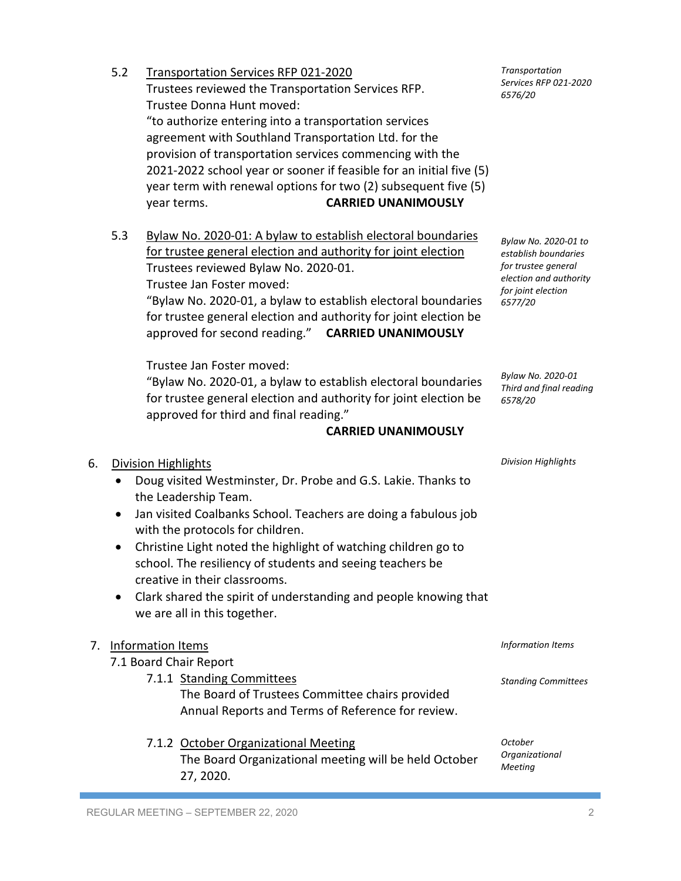REGULAR MEETING – SEPTEMBER 22, 2020 2 • Jan visited Coalbanks School. Teachers are doing a fabulous job with the protocols for children. • Christine Light noted the highlight of watching children go to school. The resiliency of students and seeing teachers be creative in their classrooms. • Clark shared the spirit of understanding and people knowing that we are all in this together. 7. Information Items 7.1 Board Chair Report 7.1.1 Standing Committees The Board of Trustees Committee chairs provided Annual Reports and Terms of Reference for review. 7.1.2 October Organizational Meeting The Board Organizational meeting will be held October 27, 2020. *October* 

for trustee general election and authority for joint election Trustees reviewed Bylaw No. 2020-01. Trustee Jan Foster moved: "Bylaw No. 2020-01, a bylaw to establish electoral boundaries for trustee general election and authority for joint election be approved for second reading." **CARRIED UNANIMOUSLY**

Trustee Jan Foster moved:

6. Division Highlights

the Leadership Team.

5.2 Transportation Services RFP 021-2020

"Bylaw No. 2020-01, a bylaw to establish electoral boundaries for trustee general election and authority for joint election be approved for third and final reading."

• Doug visited Westminster, Dr. Probe and G.S. Lakie. Thanks to

## **CARRIED UNANIMOUSLY**

Trustee Donna Hunt moved: "to authorize entering into a transportation services

Trustees reviewed the Transportation Services RFP.

agreement with Southland Transportation Ltd. for the provision of transportation services commencing with the 2021-2022 school year or sooner if feasible for an initial five (5)

year term with renewal options for two (2) subsequent five (5) year terms. **CARRIED UNANIMOUSLY**

5.3 Bylaw No. 2020-01: A bylaw to establish electoral boundaries

*Bylaw No. 2020-01 Third and final reading 6578/20*

*Bylaw No. 2020-01 to establish boundaries for trustee general election and authority for joint election 6577/20*

*Division Highlights*

*Information Items*

*Standing Committees*

*Organizational Meeting*

*Transportation Services RFP 021-2020 6576/20*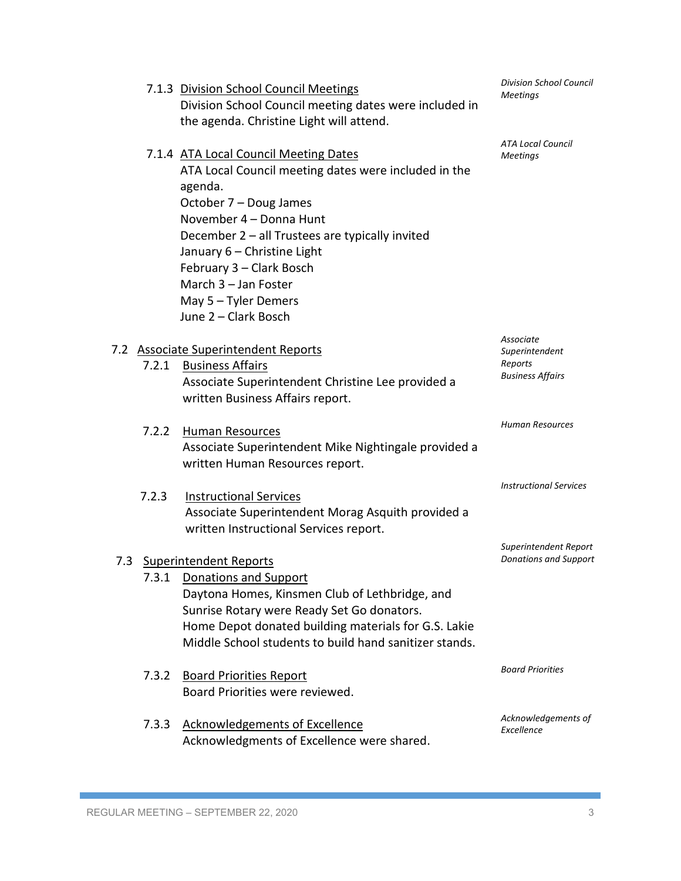|       | 7.1.3 Division School Council Meetings<br>Division School Council meeting dates were included in<br>the agenda. Christine Light will attend.                                                                                                                                                                                                          | <b>Division School Council</b><br>Meetings                        |
|-------|-------------------------------------------------------------------------------------------------------------------------------------------------------------------------------------------------------------------------------------------------------------------------------------------------------------------------------------------------------|-------------------------------------------------------------------|
|       | 7.1.4 ATA Local Council Meeting Dates<br>ATA Local Council meeting dates were included in the<br>agenda.<br>October 7 - Doug James<br>November 4 - Donna Hunt<br>December 2 - all Trustees are typically invited<br>January 6 - Christine Light<br>February 3 - Clark Bosch<br>March 3 - Jan Foster<br>May $5 -$ Tyler Demers<br>June 2 - Clark Bosch | <b>ATA Local Council</b><br><b>Meetings</b>                       |
| 7.2.1 | 7.2 Associate Superintendent Reports<br><b>Business Affairs</b><br>Associate Superintendent Christine Lee provided a<br>written Business Affairs report.                                                                                                                                                                                              | Associate<br>Superintendent<br>Reports<br><b>Business Affairs</b> |
| 7.2.2 | Human Resources<br>Associate Superintendent Mike Nightingale provided a<br>written Human Resources report.                                                                                                                                                                                                                                            | Human Resources                                                   |
| 7.2.3 | <b>Instructional Services</b><br>Associate Superintendent Morag Asquith provided a<br>written Instructional Services report.                                                                                                                                                                                                                          | <b>Instructional Services</b>                                     |
|       | 7.3 Superintendent Reports<br>7.3.1 Donations and Support<br>Daytona Homes, Kinsmen Club of Lethbridge, and<br>Sunrise Rotary were Ready Set Go donators.<br>Home Depot donated building materials for G.S. Lakie<br>Middle School students to build hand sanitizer stands.                                                                           | Superintendent Report<br><b>Donations and Support</b>             |
| 7.3.2 | <b>Board Priorities Report</b><br>Board Priorities were reviewed.                                                                                                                                                                                                                                                                                     | <b>Board Priorities</b>                                           |
| 7.3.3 | <b>Acknowledgements of Excellence</b><br>Acknowledgments of Excellence were shared.                                                                                                                                                                                                                                                                   | Acknowledgements of<br>Excellence                                 |